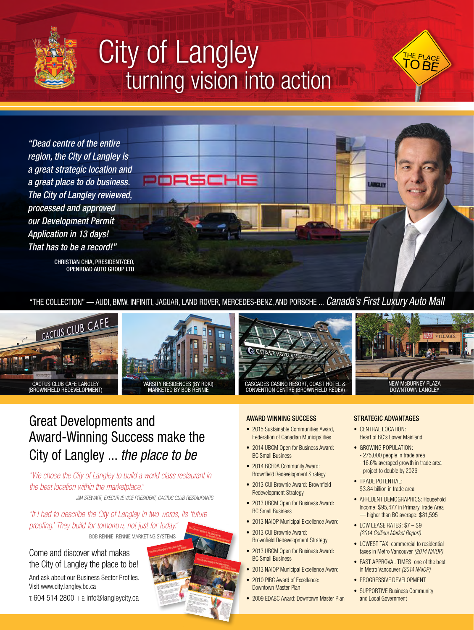

## City of Langley *turning vision into action*



CHRISTIAN CHIA, PRESIDENT/CEO, OPENROAD AUTO GROUP LTD

"THE COLLECTION" — AUDI, BMW, INFINITI, JAGUAR, LAND ROVER, MERCEDES-BENZ, AND PORSCHE ... *Canada's First Luxury Auto Mall*





 $=100$ 





THE PLACE  $\overline{\mathsf{O}}$  BF

### Great Developments and Award-Winning Success make the City of Langley ... *the place to be*

*"We chose the City of Langley to build a world class restaurant in the best location within the marketplace."* 

*JIM STEWART, EXECUTIVE VICE PRESIDENT, CACTUS CLUB RESTAURANTS*

*"If I had to describe the City of Langley in two words, its 'future proofing.' They build for tomorrow, not just for today."* BOB RENNIE, RENNIE MARKETING SYSTEMS .

#### Come and discover what makes the City of Langley the place to be!

And ask about our Business Sector Profiles. Visit www.city.langley.bc.ca

 $T: 604$  514 2800  $+ E: inf<sub>0</sub>$  exampley city.ca

#### AWARD WINNING SUCCESS

- 2015 Sustainable Communities Award, Federation of Canadian Municipalities
- 2014 UBCM Open for Business Award: BC Small Business
- 2014 BCEDA Community Award: Brownfield Redevelopment Strategy
- 2013 CUI Brownie Award: Brownfield Redevelopment Strategy
- 2013 UBCM Open for Business Award: BC Small Business
- 2013 NAIOP Municipal Excellence Award
- 2013 CUI Brownie Award: Brownfield Redevelopment Strategy
- 2013 UBCM Open for Business Award: BC Small Business
- 2013 NAIOP Municipal Excellence Award
- 2010 PIBC Award of Excellence: Downtown Master Plan
- 2009 EDABC Award: Downtown Master Plan

#### STRATEGIC ADVANTAGES

**Allie Ts** 

- CENTRAL LOCATION: Heart of BC's Lower Mainland
- GROWING POPULATION: - 275,000 people in trade area - 16.6% averaged growth in trade area
	- project to double by 2026
- TRADE POTENTIAL: \$3.84 billion in trade area
- AFFLUENT DEMOGRAPHICS: Household Income: \$95,477 in Primary Trade Area — higher than BC average: \$81,595
- LOW LEASE RATES: \$7 \$9 *(2014 Colliers Market Report)*
- LOWEST TAX: commercial to residential taxes in Metro Vancouver *(2014 NAIOP)*
- FAST APPROVAL TIMES: one of the best in Metro Vancouver *(2014 NAIOP)*
- PROGRESSIVE DEVELOPMENT
- SUPPORTIVE Business Community and Local Government